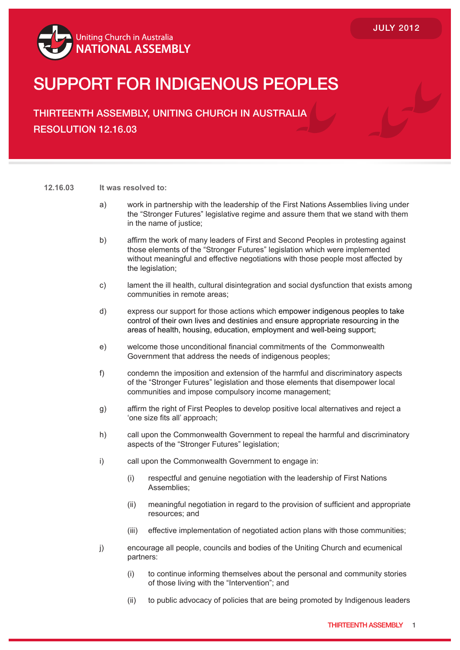

## SUPPORT FOR INDIGENOUS PEOPLES

THIRTEENTH ASSEMBLY, UNITING CHURCH IN AUSTRALIA RESOLUTION 12.16.03

## **12.16.03 It was resolved to:**

- a) work in partnership with the leadership of the First Nations Assemblies living under the "Stronger Futures" legislative regime and assure them that we stand with them in the name of justice;
- b) affirm the work of many leaders of First and Second Peoples in protesting against those elements of the "Stronger Futures" legislation which were implemented without meaningful and effective negotiations with those people most affected by the legislation;
- c) lament the ill health, cultural disintegration and social dysfunction that exists among communities in remote areas;
- d) express our support for those actions which empower indigenous peoples to take control of their own lives and destinies and ensure appropriate resourcing in the areas of health, housing, education, employment and well-being support;
- e) welcome those unconditional financial commitments of the Commonwealth Government that address the needs of indigenous peoples;
- f) condemn the imposition and extension of the harmful and discriminatory aspects of the "Stronger Futures" legislation and those elements that disempower local communities and impose compulsory income management;
- g) affirm the right of First Peoples to develop positive local alternatives and reject a 'one size fits all' approach;
- h) call upon the Commonwealth Government to repeal the harmful and discriminatory aspects of the "Stronger Futures" legislation;
- i) call upon the Commonwealth Government to engage in:
	- (i) respectful and genuine negotiation with the leadership of First Nations Assemblies;
	- (ii) meaningful negotiation in regard to the provision of sufficient and appropriate resources; and
	- (iii) effective implementation of negotiated action plans with those communities;
- j) encourage all people, councils and bodies of the Uniting Church and ecumenical partners:
	- (i) to continue informing themselves about the personal and community stories of those living with the "Intervention"; and
	- (ii) to public advocacy of policies that are being promoted by Indigenous leaders